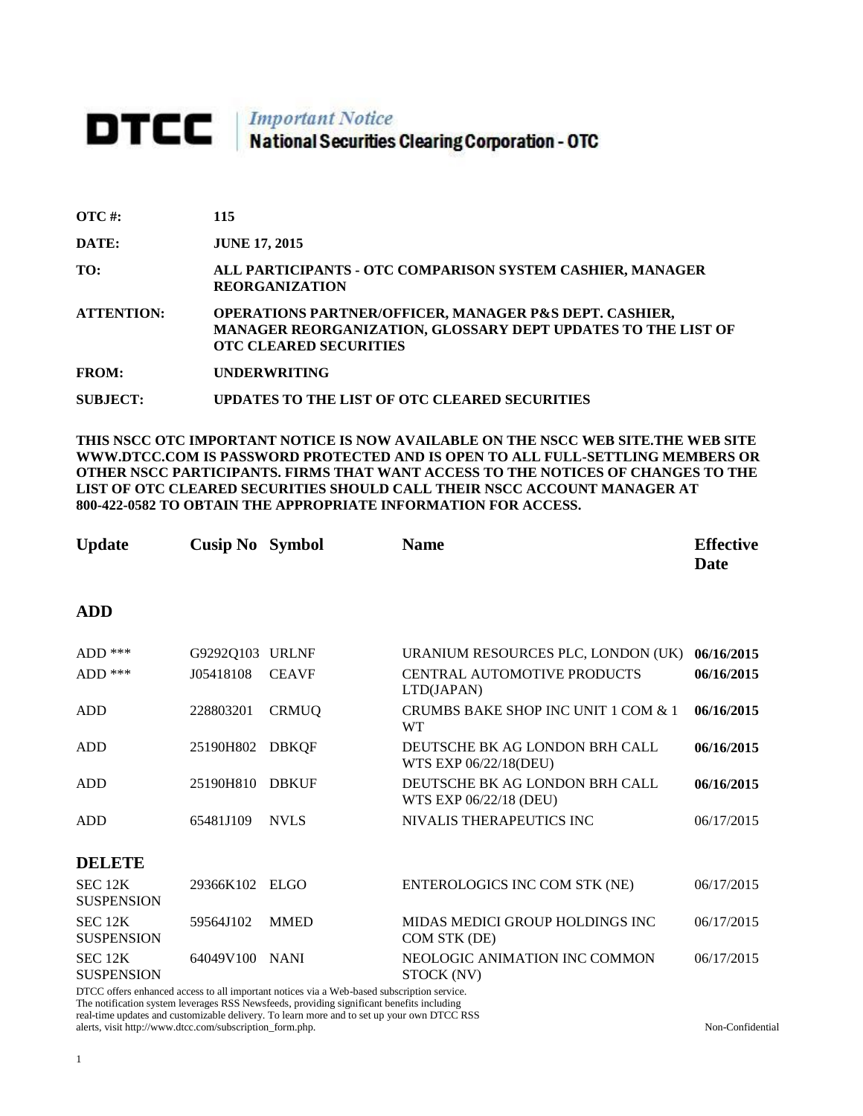## **DTCC** National Securities Clearing Corporation - OTC

| $\overline{OTC}$ #: | 115                                                                                                                                                     |
|---------------------|---------------------------------------------------------------------------------------------------------------------------------------------------------|
| DATE:               | <b>JUNE 17, 2015</b>                                                                                                                                    |
| TO:                 | ALL PARTICIPANTS - OTC COMPARISON SYSTEM CASHIER, MANAGER<br><b>REORGANIZATION</b>                                                                      |
| <b>ATTENTION:</b>   | OPERATIONS PARTNER/OFFICER, MANAGER P&S DEPT. CASHIER,<br>MANAGER REORGANIZATION, GLOSSARY DEPT UPDATES TO THE LIST OF<br><b>OTC CLEARED SECURITIES</b> |
| <b>FROM:</b>        | <b>UNDERWRITING</b>                                                                                                                                     |
| SUBJECT:            | UPDATES TO THE LIST OF OTC CLEARED SECURITIES                                                                                                           |

**THIS NSCC OTC IMPORTANT NOTICE IS NOW AVAILABLE ON THE NSCC WEB SITE.THE WEB SITE WWW.DTCC.COM IS PASSWORD PROTECTED AND IS OPEN TO ALL FULL-SETTLING MEMBERS OR OTHER NSCC PARTICIPANTS. FIRMS THAT WANT ACCESS TO THE NOTICES OF CHANGES TO THE LIST OF OTC CLEARED SECURITIES SHOULD CALL THEIR NSCC ACCOUNT MANAGER AT 800-422-0582 TO OBTAIN THE APPROPRIATE INFORMATION FOR ACCESS.** 

| <b>Update</b>                       | <b>Cusip No</b> Symbol       |              | <b>Name</b>                                                                            | <b>Effective</b><br>Date |
|-------------------------------------|------------------------------|--------------|----------------------------------------------------------------------------------------|--------------------------|
| <b>ADD</b>                          |                              |              |                                                                                        |                          |
| $ADD$ ***<br>ADD ***                | G9292Q103 URLNF<br>J05418108 | <b>CEAVF</b> | URANIUM RESOURCES PLC, LONDON (UK)<br><b>CENTRAL AUTOMOTIVE PRODUCTS</b><br>LTD(JAPAN) | 06/16/2015<br>06/16/2015 |
| <b>ADD</b>                          | 228803201                    | <b>CRMUQ</b> | CRUMBS BAKE SHOP INC UNIT 1 COM & 1<br><b>WT</b>                                       | 06/16/2015               |
| <b>ADD</b>                          | 25190H802                    | <b>DBKQF</b> | DEUTSCHE BK AG LONDON BRH CALL<br>WTS EXP 06/22/18(DEU)                                | 06/16/2015               |
| <b>ADD</b>                          | 25190H810                    | <b>DBKUF</b> | DEUTSCHE BK AG LONDON BRH CALL<br>WTS EXP 06/22/18 (DEU)                               | 06/16/2015               |
| <b>ADD</b>                          | 65481J109                    | <b>NVLS</b>  | NIVALIS THERAPEUTICS INC                                                               | 06/17/2015               |
| <b>DELETE</b>                       |                              |              |                                                                                        |                          |
| <b>SEC 12K</b><br><b>SUSPENSION</b> | 29366K102                    | <b>ELGO</b>  | ENTEROLOGICS INC COM STK (NE)                                                          | 06/17/2015               |
| SEC 12K<br><b>SUSPENSION</b>        | 59564J102                    | <b>MMED</b>  | MIDAS MEDICI GROUP HOLDINGS INC<br>COM STK (DE)                                        | 06/17/2015               |
| SEC 12K<br><b>SUSPENSION</b>        | 64049V100                    | <b>NANI</b>  | NEOLOGIC ANIMATION INC COMMON<br>STOCK (NV)                                            | 06/17/2015               |

DTCC offers enhanced access to all important notices via a Web-based subscription service. The notification system leverages RSS Newsfeeds, providing significant benefits including real-time updates and customizable delivery. To learn more and to set up your own DTCC RSS alerts, visit http://www.dtcc.com/subscription\_form.php. Non-Confidential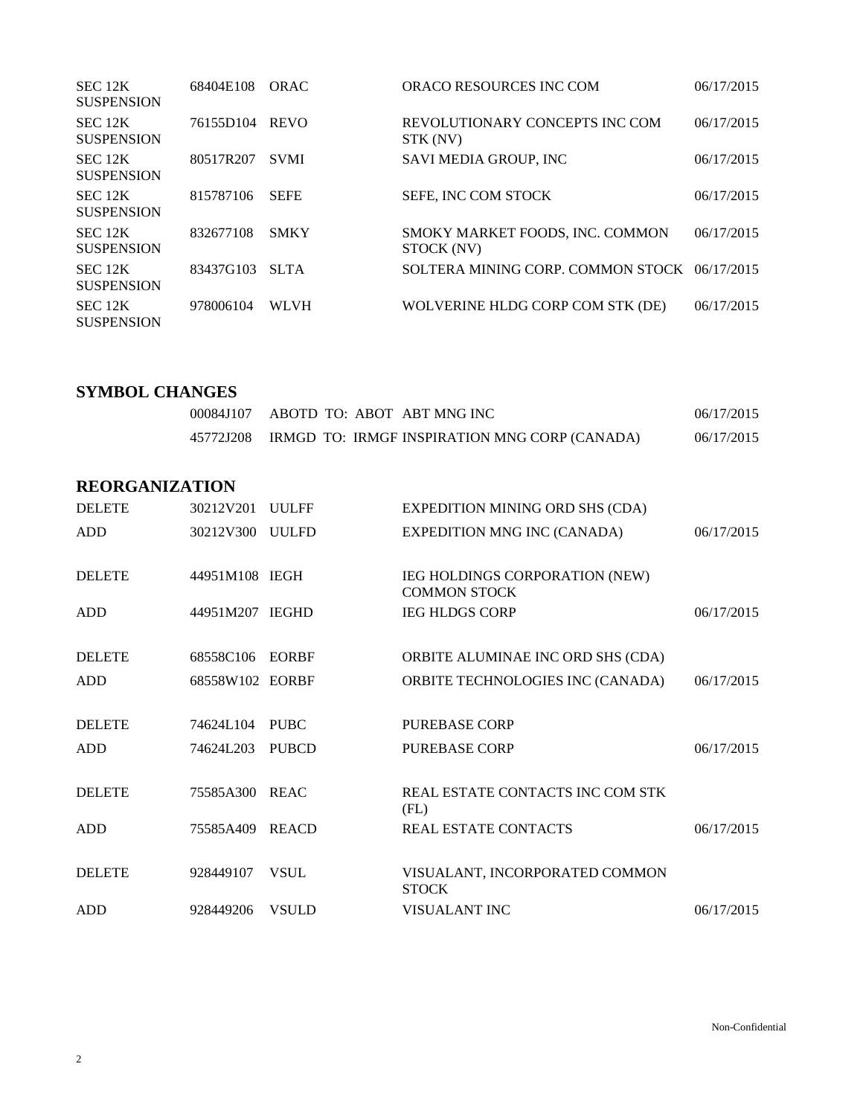| SEC 12K<br><b>SUSPENSION</b> | 68404E108 | ORAC        | ORACO RESOURCES INC COM                       | 06/17/2015 |
|------------------------------|-----------|-------------|-----------------------------------------------|------------|
| SEC 12K<br><b>SUSPENSION</b> | 76155D104 | <b>REVO</b> | REVOLUTIONARY CONCEPTS INC COM<br>STK (NV)    | 06/17/2015 |
| SEC 12K<br><b>SUSPENSION</b> | 80517R207 | <b>SVMI</b> | SAVI MEDIA GROUP, INC                         | 06/17/2015 |
| SEC 12K<br><b>SUSPENSION</b> | 815787106 | <b>SEFE</b> | SEFE, INC COM STOCK                           | 06/17/2015 |
| SEC 12K<br><b>SUSPENSION</b> | 832677108 | <b>SMKY</b> | SMOKY MARKET FOODS, INC. COMMON<br>STOCK (NV) | 06/17/2015 |
| SEC 12K<br><b>SUSPENSION</b> | 83437G103 | <b>SLTA</b> | SOLTERA MINING CORP. COMMON STOCK 06/17/2015  |            |
| SEC 12K<br><b>SUSPENSION</b> | 978006104 | <b>WLVH</b> | WOLVERINE HLDG CORP COM STK (DE)              | 06/17/2015 |

## **SYMBOL CHANGES**

| 00084J107 ABOTD TO: ABOT ABT MNG INC                    | 06/17/2015 |
|---------------------------------------------------------|------------|
| 45772J208 IRMGD TO: IRMGF INSPIRATION MNG CORP (CANADA) | 06/17/2015 |

## **REORGANIZATION**

| <b>DELETE</b> | 30212V201       | <b>UULFF</b> | <b>EXPEDITION MINING ORD SHS (CDA)</b>                |            |
|---------------|-----------------|--------------|-------------------------------------------------------|------------|
| <b>ADD</b>    | 30212V300 UULFD |              | <b>EXPEDITION MNG INC (CANADA)</b>                    | 06/17/2015 |
| <b>DELETE</b> | 44951M108 IEGH  |              | IEG HOLDINGS CORPORATION (NEW)<br><b>COMMON STOCK</b> |            |
| <b>ADD</b>    | 44951M207 IEGHD |              | <b>IEG HLDGS CORP</b>                                 | 06/17/2015 |
| <b>DELETE</b> | 68558C106       | EORBF        | ORBITE ALUMINAE INC ORD SHS (CDA)                     |            |
| <b>ADD</b>    | 68558W102 EORBF |              | ORBITE TECHNOLOGIES INC (CANADA)                      | 06/17/2015 |
| <b>DELETE</b> | 74624L104       | <b>PUBC</b>  | <b>PUREBASE CORP</b>                                  |            |
| ADD           | 74624L203       | <b>PUBCD</b> | <b>PUREBASE CORP</b>                                  | 06/17/2015 |
| <b>DELETE</b> | 75585A300       | REAC         | REAL ESTATE CONTACTS INC COM STK<br>(FL)              |            |
| <b>ADD</b>    | 75585A409       | <b>REACD</b> | <b>REAL ESTATE CONTACTS</b>                           | 06/17/2015 |
| <b>DELETE</b> | 928449107       | <b>VSUL</b>  | VISUALANT, INCORPORATED COMMON<br><b>STOCK</b>        |            |
| ADD           | 928449206       | <b>VSULD</b> | VISUALANT INC                                         | 06/17/2015 |